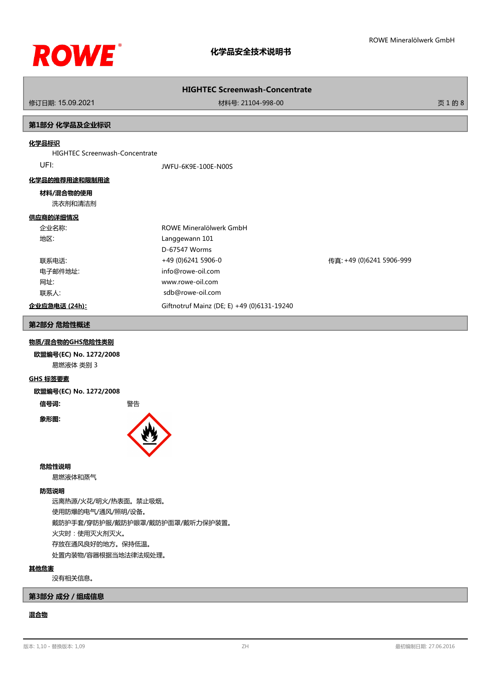

修订日期: 15.09.2021 材料号: 21104-998-00 页 1 的 8

# **第1部分 化学品及企业标识**

# **化学品标识**

HIGHTEC Screenwash-Concentrate

UFI: JWFU-6K9E-100E-N00S

## **化学品的推荐用途和限制用途**

## **材料/混合物的使用**

洗衣剂和清洁剂

# **供应商的详细情况**

| 企业名称:         | ROWE Mineralölwerk GmbH                    |                          |
|---------------|--------------------------------------------|--------------------------|
| 地区:           | Langgewann 101                             |                          |
|               | D-67547 Worms                              |                          |
| 联系电话:         | +49 (0)6241 5906-0                         | 传真: +49 (0)6241 5906-999 |
| 电子邮件地址:       | info@rowe-oil.com                          |                          |
| 网址:           | www.rowe-oil.com                           |                          |
| 联系人:          | sdb@rowe-oil.com                           |                          |
| 企业应急电话 (24h): | Giftnotruf Mainz (DE; E) +49 (0)6131-19240 |                          |

### **第2部分 危险性概述**

#### **物质/混合物的GHS危险性类别**

**欧盟编号(EC) No. 1272/2008** 易燃液体 类别 3

#### **GHS 标签要素**

**欧盟编号(EC) No. 1272/2008**

**信号词:** 警告

**象形图:**



#### **危险性说明**

易燃液体和蒸气

#### **防范说明**

远离热源/火花/明火/热表面。禁止吸烟。 使用防爆的电气/通风/照明/设备。 戴防护手套/穿防护服/戴防护眼罩/戴防护面罩/戴听力保护装置。 火灾时:使用灭火剂灭火。 存放在通风良好的地方。保持低温。

处置内装物/容器根据当地法律法规处理。

#### **其他危害**

没有相关信息。

# **第3部分 成分/组成信息**

# **混合物**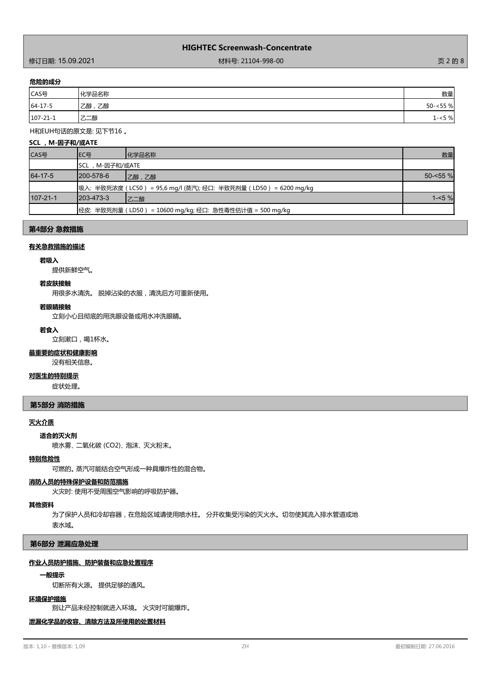作为<br>1998年12月20日 12:09:2021 12:09:2021 12:09:2021 12:09:00 12:00:00 12:00:00 12:00:00 12:00:00 12:00:00 12:00:00 页 2 的 8

## **危险的成分**

| .              |            |            |
|----------------|------------|------------|
| CAS号           | 化学品名称      | 数量         |
| $64 - 17 - 5$  | 乙醇<br>'乙醇, | $50 - 55%$ |
| $107 - 21 - 1$ | 乙二醇        | $1 - 5%$   |

## H和EUH句话的原文是: 见下节16 。

| SCL, M-因子和/或ATE |                  |                                                              |             |
|-----------------|------------------|--------------------------------------------------------------|-------------|
| CAS号            | IEC号             | 化学品名称                                                        | 数量          |
|                 | ISCL,M-因子和/或ATE  |                                                              |             |
| 64-17-5         | 1200-578-6       | 乙醇,乙醇                                                        | $50 - 55$ % |
|                 |                  | 吸入:半致死浓度(LC50 )= 95,6 mg/l (蒸汽); 经口:半致死剂量(LD50 )= 6200 mg/kg |             |
| $107 - 21 - 1$  | $1203 - 473 - 3$ | 乙二醇                                                          | $1 - 5%$    |
|                 |                  | 经皮: 半致死剂量(LD50) = 10600 mg/kg; 经口: 急性毒性估计值 = 500 mg/kg       |             |

# **第4部分 急救措施**

#### **有关急救措施的描述**

#### **若吸入**

提供新鲜空气。

## **若皮肤接触**

用很多水清洗。 脱掉沾染的衣服,清洗后方可重新使用。

#### **若眼睛接触**

立刻小心且彻底的用洗眼设备或用水冲洗眼睛。

#### **若食入**

立刻漱口,喝1杯水。

## **最重要的症状和健康影响**

没有相关信息。

### **对医生的特别提示**

症状处理。

# **第5部分 消防措施**

# **灭火介质**

**适合的灭火剂**

喷水雾、 二氧化碳 (CO2)、 泡沫、 灭火粉末。

#### **特别危险性**

可燃的。 蒸汽可能结合空气形成一种具爆炸性的混合物。

## **消防人员的特殊保护设备和防范措施**

火灾时: 使用不受周围空气影响的呼吸防护器。

#### **其他资料**

为了保护人员和冷却容器,在危险区域请使用喷水柱。 分开收集受污染的灭火水。切勿使其流入排水管道或地

表水域。

#### **第6部分 泄漏应急处理**

# **作业人员防护措施、防护装备和应急处置程序**

### **一般提示**

切断所有火源。 提供足够的通风。

# **环境保护措施**

别让产品未经控制就进入环境。 火灾时可能爆炸。

# **泄漏化学品的收容、清除方法及所使用的处置材料**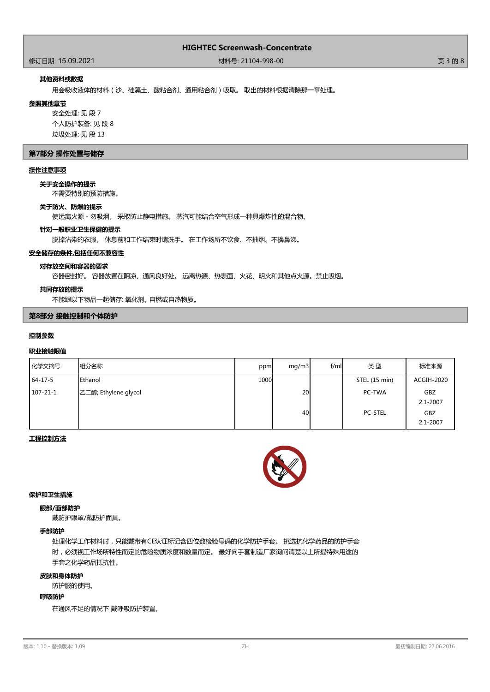# 修订日期: 15.09.2021 材料号: 21104-998-00 页 3 的 8

# **其他资料或数据**

用会吸收液体的材料(沙、硅藻土、酸粘合剂、通用粘合剂)吸取。 取出的材料根据清除那一章处理。

#### **参照其他章节**

安全处理: 见 段 7 个人防护装备: 见 段 8 垃圾处理: 见 段 13

### **第7部分 操作处置与储存**

# **操作注意事项**

#### **关于安全操作的提示**

不需要特别的预防措施。

#### **关于防火、防爆的提示**

使远离火源 - 勿吸烟。 采取防止静电措施。 蒸汽可能结合空气形成一种具爆炸性的混合物。

#### **针对一般职业卫生保健的提示**

脱掉沾染的衣服。 休息前和工作结束时请洗手。 在工作场所不饮食、不抽烟、不擤鼻涕。

### **安全储存的条件,包括任何不兼容性**

# **对存放空间和容器的要求**

容器密封好。 容器放置在阴凉、通风良好处。 远离热源、热表面、火花、明火和其他点火源。禁止吸烟。

#### **共同存放的提示**

不能跟以下物品一起储存: 氧化剂。 自燃或自热物质。

# **第8部分 接触控制和个体防护**

# **控制参数**

# **职业接触限值**

| 化学文摘号          | 组分名称                 | ppm  | mq/m3 | f/ml | 类型             | 标准来源                       |
|----------------|----------------------|------|-------|------|----------------|----------------------------|
| $64 - 17 - 5$  | <b>I</b> Ethanol     | 1000 |       |      | STEL (15 min)  | ACGIH-2020                 |
| $107 - 21 - 1$ | 乙二醇; Ethylene glycol |      | 20    |      | PC-TWA         | <b>GBZ</b><br>$2.1 - 2007$ |
|                |                      |      | 40    |      | <b>PC-STEL</b> | <b>GBZ</b><br>$2.1 - 2007$ |

# **工程控制方法**



# **保护和卫生措施**

#### **眼部/面部防护**

戴防护眼罩/戴防护面具。

## **手部防护**

处理化学工作材料时,只能戴带有CE认证标记含四位数检验号码的化学防护手套。 挑选抗化学药品的防护手套 时,必须视工作场所特性而定的危险物质浓度和数量而定。 最好向手套制造厂家询问清楚以上所提特殊用途的 手套之化学药品抵抗性。

#### **皮肤和身体防护**

防护服的使用。

#### **呼吸防护**

在通风不足的情况下 戴呼吸防护装置。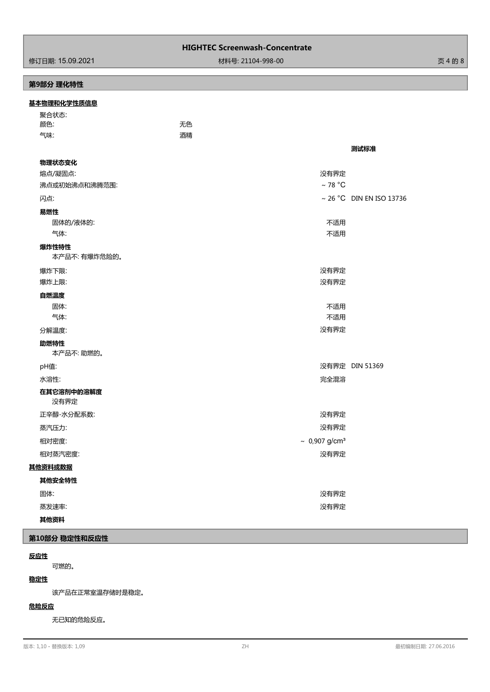# 作为<br>1998年第2020年第2021 12:09:2021 12:09:2021 12:09:20:00 12:00:00 12:00:00 12:00:00 12:00:00 12:00:00:00:00:00:00:00

# **第9部分 理化特性**

| 聚合状态:<br>无色<br>颜色:<br>气味:<br>酒精<br>测试标准<br>物理状态变化<br>熔点/凝固点:<br>没有界定<br>$~\sim$ 78 °C<br>沸点或初始沸点和沸腾范围:<br>~ 26 °C DIN EN ISO 13736<br>闪点:<br>易燃性<br>不适用<br>固体的/液体的:<br>气体:<br>不适用<br>爆炸性特性<br>本产品不: 有爆炸危险的。<br>没有界定<br>爆炸下限:<br>爆炸上限:<br>没有界定<br>自燃温度<br>不适用<br>固体:<br>不适用<br>气体:<br>没有界定<br>分解温度:<br>助燃特性 |
|------------------------------------------------------------------------------------------------------------------------------------------------------------------------------------------------------------------------------------------------------------------------------------------------------------|
|                                                                                                                                                                                                                                                                                                            |
|                                                                                                                                                                                                                                                                                                            |
|                                                                                                                                                                                                                                                                                                            |
|                                                                                                                                                                                                                                                                                                            |
|                                                                                                                                                                                                                                                                                                            |
|                                                                                                                                                                                                                                                                                                            |
|                                                                                                                                                                                                                                                                                                            |
|                                                                                                                                                                                                                                                                                                            |
|                                                                                                                                                                                                                                                                                                            |
|                                                                                                                                                                                                                                                                                                            |
|                                                                                                                                                                                                                                                                                                            |
|                                                                                                                                                                                                                                                                                                            |
|                                                                                                                                                                                                                                                                                                            |
|                                                                                                                                                                                                                                                                                                            |
|                                                                                                                                                                                                                                                                                                            |
|                                                                                                                                                                                                                                                                                                            |
|                                                                                                                                                                                                                                                                                                            |
|                                                                                                                                                                                                                                                                                                            |
|                                                                                                                                                                                                                                                                                                            |
|                                                                                                                                                                                                                                                                                                            |
| 本产品不:助燃的。                                                                                                                                                                                                                                                                                                  |
| 没有界定 DIN 51369<br>pH值:                                                                                                                                                                                                                                                                                     |
| 完全混溶<br>水溶性:                                                                                                                                                                                                                                                                                               |
| 在其它溶剂中的溶解度                                                                                                                                                                                                                                                                                                 |
| 没有界定                                                                                                                                                                                                                                                                                                       |
| 没有界定<br>正辛醇-水分配系数:                                                                                                                                                                                                                                                                                         |
| 没有界定<br>蒸汽压力:                                                                                                                                                                                                                                                                                              |
| ~ $0,907$ g/cm <sup>3</sup><br>相对密度:                                                                                                                                                                                                                                                                       |
| 相对蒸汽密度:<br>没有界定                                                                                                                                                                                                                                                                                            |
| 其他资料或数据                                                                                                                                                                                                                                                                                                    |
| 其他安全特性                                                                                                                                                                                                                                                                                                     |
| 固体:<br>没有界定                                                                                                                                                                                                                                                                                                |
| 没有界定<br>蒸发速率:                                                                                                                                                                                                                                                                                              |

# **其他资料**

# **第10部分 稳定性和反应性**

# **反应性**

可燃的。

# **稳定性**

该产品在正常室温存储时是稳定。

# **危险反应**

无已知的危险反应。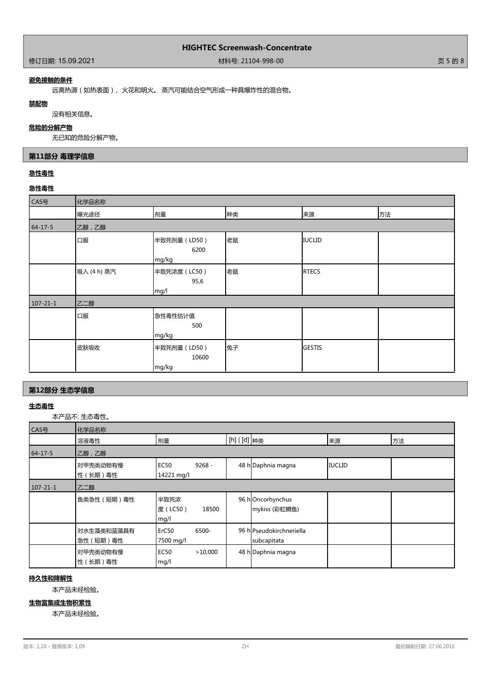# **避免接触的条件**

远离热源(如热表面)、火花和明火。 蒸汽可能结合空气形成一种具爆炸性的混合物。

#### **禁配物**

没有相关信息。

## **危险的分解产物**

无已知的危险分解产物。

# **第11部分 毒理学信息**

# **急性毒性**

# **急性毒性**

| CAS号           | 化学品名称       |                                |    |               |    |
|----------------|-------------|--------------------------------|----|---------------|----|
|                | 曝光途径        | 剂量                             | 种类 | 来源            | 方法 |
| $64 - 17 - 5$  | 乙醇,乙醇       |                                |    |               |    |
|                | 口服          | 半致死剂量 (LD50)<br>6200<br>mg/kg  | 老鼠 | <b>IUCLID</b> |    |
|                | 吸入 (4 h) 蒸汽 | 半致死浓度 (LC50)<br>95,6<br>mg/l   | 老鼠 | <b>RTECS</b>  |    |
| $107 - 21 - 1$ | 乙二醇         |                                |    |               |    |
|                | 口服          | 急性毒性估计值<br>500<br>mg/kg        |    |               |    |
|                | 皮肤吸收        | 半致死剂量 (LD50)<br>10600<br>mg/kg | 兔子 | <b>GESTIS</b> |    |

# **第12部分 生态学信息**

# **生态毒性**

本产品不: 生态毒性。

| CAS号           | 化学品名称                   |                                         |                                         |               |    |
|----------------|-------------------------|-----------------------------------------|-----------------------------------------|---------------|----|
|                | 溶液毒性                    | 剂量                                      | [h]   [d] <sub>种类</sub>                 | 来源            | 方法 |
| $64 - 17 - 5$  | 乙醇,乙醇                   |                                         |                                         |               |    |
|                | 对甲壳类动物有慢<br>性 (长期)毒性    | $9268 -$<br><b>EC50</b><br>14221 mg/l   | 48 h Daphnia magna                      | <b>IUCLID</b> |    |
| $107 - 21 - 1$ | 乙二醇                     |                                         |                                         |               |    |
|                | 鱼类急性 (短期)毒性             | 半致死浓<br>度(LC50)<br>18500<br>mg/l        | 96 hOncorhynchus<br>mykiss (彩虹鳟鱼)       |               |    |
|                | 对水生藻类和蓝藻具有<br>急性 (短期)毒性 | 6500-<br>ErC <sub>50</sub><br>7500 mg/l | 96 hlPseudokirchneriella<br>subcapitata |               |    |
|                | 对甲壳类动物有慢<br>性 (长期)毒性    | <b>EC50</b><br>>10.000<br>mg/l          | 48 h Daphnia magna                      |               |    |

# **持久性和降解性**

本产品未经检验。

# **生物富集或生物积累性**

本产品未经检验。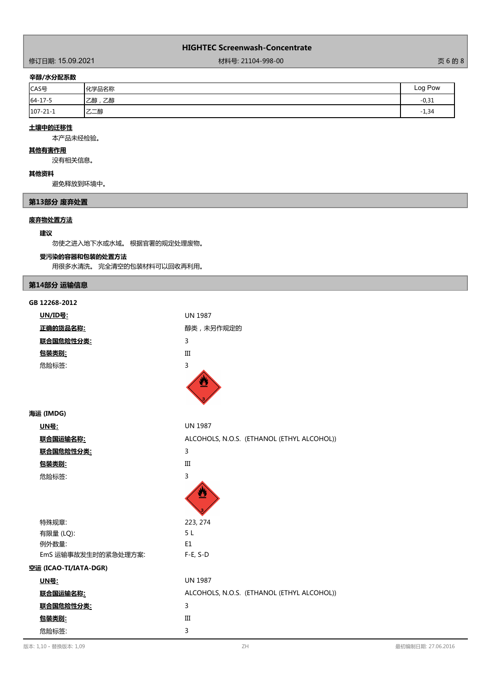作了<br>1988年11月20日 12:09:2021 12:09:2021 12:09:2021 12:09:00 12:00:00 12:00:00 12:00:00 12:00:00 12:00:00:00:00:00:00

# **辛醇/水分配系数**

| CAS号           | 化学品名称    | Log Pow |
|----------------|----------|---------|
| $64 - 17 - 5$  | 乙醇<br>乙醇 | $-0,31$ |
| $107 - 21 - 1$ | 乙二醇      | $-1,34$ |

# **土壤中的迁移性**

本产品未经检验。

#### **其他有害作用**

没有相关信息。

# **其他资料**

避免释放到环境中。

# **第13部分 废弃处置**

# **废弃物处置方法**

### **建议**

勿使之进入地下水或水域。 根据官署的规定处理废物。

# **受污染的容器和包装的处置方法**

用很多水清洗。 完全清空的包装材料可以回收再利用。

# **第14部分 运输信息**

| GB 12268-2012         |                                            |
|-----------------------|--------------------------------------------|
| <u>UN/ID号:</u>        | <b>UN 1987</b>                             |
| 正确的货品名称:              | 醇类,未另作规定的                                  |
| <u> 联合国危险性分类:</u>     | 3                                          |
| 包装类别:                 | III                                        |
| 危险标签:                 | 3                                          |
|                       |                                            |
| 海运 (IMDG)             |                                            |
| <u> UN号:</u>          | <b>UN 1987</b>                             |
| 联合国运输名称:              | ALCOHOLS, N.O.S. (ETHANOL (ETHYL ALCOHOL)) |
| 联合国危险性分类:             | 3                                          |
| 包装类别:                 | III                                        |
| 危险标签:                 | 3                                          |
|                       |                                            |
| 特殊规章:                 | 223, 274                                   |
| 有限量 (LQ):             | 5L                                         |
| 例外数量:                 | E1                                         |
| EmS 运输事故发生时的紧急处理方案:   | $F-E, S-D$                                 |
| 空运 (ICAO-TI/IATA-DGR) |                                            |
| <u> UN号:</u>          | <b>UN 1987</b>                             |
| 联合国运输名称:              | ALCOHOLS, N.O.S. (ETHANOL (ETHYL ALCOHOL)) |
| 联合国危险性分类:             | 3                                          |
| 包装类别:                 | Ш                                          |
| 危险标签:                 | 3                                          |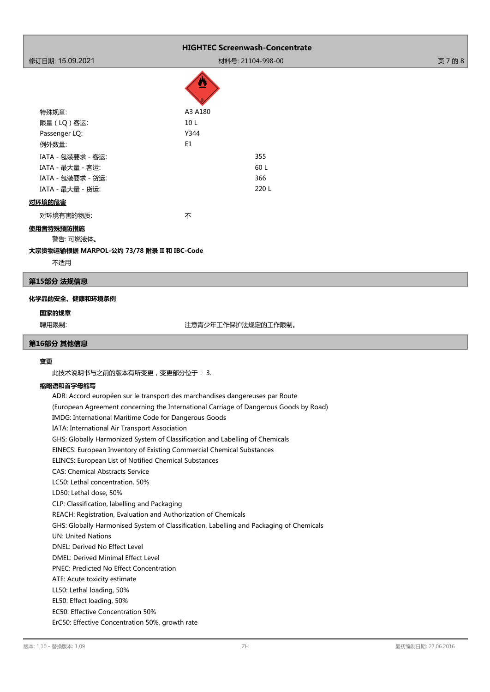|                   |                 | <b>HIGHTEC Screenwash-Concentrate</b> |         |
|-------------------|-----------------|---------------------------------------|---------|
| 修订日期: 15.09.2021  |                 | 材料号: 21104-998-00                     | 页 7 的 8 |
|                   | 啞               |                                       |         |
| 特殊规章:             | A3 A180         |                                       |         |
| 限量(LQ)客运:         | 10 <sub>L</sub> |                                       |         |
| Passenger LQ:     | Y344            |                                       |         |
| 例外数量:             | E1              |                                       |         |
| IATA - 包装要求 - 客运: |                 | 355                                   |         |
| IATA - 最大量 - 客运:  |                 | 60 L                                  |         |
| IATA - 包装要求 - 货运: |                 | 366                                   |         |
| IATA - 最大量 - 货运:  |                 | 220L                                  |         |
| 对环境的危害            |                 |                                       |         |
| 对环境有害的物质:         | 不               |                                       |         |

# **使用者特殊预防措施**

警告: 可燃液体。

# **大宗货物运输根据 MARPOL-公约 73/78 附录 II 和 IBC-Code**

不适用

#### **第15部分 法规信息**

# **化学品的安全、健康和环境条例**

#### **国家的规章**

聘用限制: 注意青少年工作保护法规定的工作限制。

## **第16部分 其他信息**

# **变更**

此技术说明书与之前的版本有所变更,变更部分位于: 3.

# **缩略语和首字母缩写**

ADR: Accord européen sur le transport des marchandises dangereuses par Route (European Agreement concerning the International Carriage of Dangerous Goods by Road) IMDG: International Maritime Code for Dangerous Goods IATA: International Air Transport Association GHS: Globally Harmonized System of Classification and Labelling of Chemicals EINECS: European Inventory of Existing Commercial Chemical Substances ELINCS: European List of Notified Chemical Substances CAS: Chemical Abstracts Service LC50: Lethal concentration, 50% LD50: Lethal dose, 50% CLP: Classification, labelling and Packaging REACH: Registration, Evaluation and Authorization of Chemicals GHS: Globally Harmonised System of Classification, Labelling and Packaging of Chemicals UN: United Nations DNEL: Derived No Effect Level DMEL: Derived Minimal Effect Level PNEC: Predicted No Effect Concentration ATE: Acute toxicity estimate LL50: Lethal loading, 50% EL50: Effect loading, 50% EC50: Effective Concentration 50% ErC50: Effective Concentration 50%, growth rate